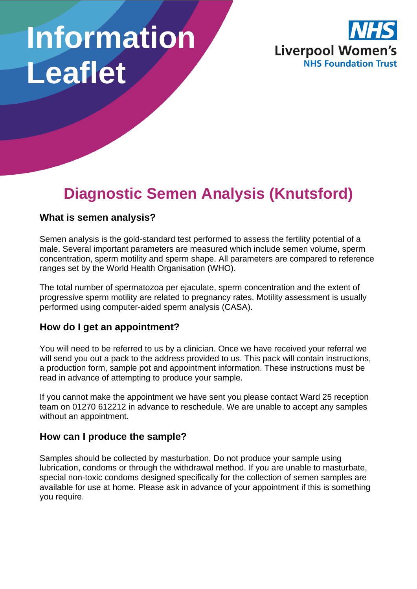# **Information Leaflet**



# **Diagnostic Semen Analysis (Knutsford)**

#### **What is semen analysis?**

Semen analysis is the gold-standard test performed to assess the fertility potential of a male. Several important parameters are measured which include semen volume, sperm concentration, sperm motility and sperm shape. All parameters are compared to reference ranges set by the World Health Organisation (WHO).

The total number of spermatozoa per ejaculate, sperm concentration and the extent of progressive sperm motility are related to pregnancy rates. Motility assessment is usually performed using computer-aided sperm analysis (CASA).

#### **How do I get an appointment?**

You will need to be referred to us by a clinician. Once we have received your referral we will send you out a pack to the address provided to us. This pack will contain instructions, a production form, sample pot and appointment information. These instructions must be read in advance of attempting to produce your sample.

If you cannot make the appointment we have sent you please contact Ward 25 reception team on 01270 612212 in advance to reschedule. We are unable to accept any samples without an appointment.

#### **How can I produce the sample?**

Samples should be collected by masturbation. Do not produce your sample using lubrication, condoms or through the withdrawal method. If you are unable to masturbate, special non-toxic condoms designed specifically for the collection of semen samples are available for use at home. Please ask in advance of your appointment if this is something you require.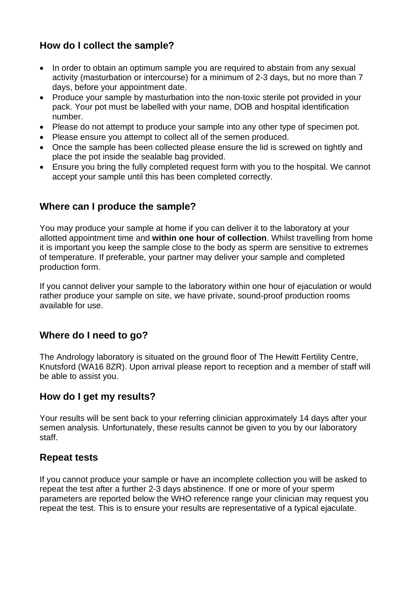# **How do I collect the sample?**

- In order to obtain an optimum sample you are required to abstain from any sexual activity (masturbation or intercourse) for a minimum of 2-3 days, but no more than 7 days, before your appointment date.
- Produce your sample by masturbation into the non-toxic sterile pot provided in your pack. Your pot must be labelled with your name, DOB and hospital identification number.
- Please do not attempt to produce your sample into any other type of specimen pot.
- Please ensure you attempt to collect all of the semen produced.
- Once the sample has been collected please ensure the lid is screwed on tightly and place the pot inside the sealable bag provided.
- Ensure you bring the fully completed request form with you to the hospital. We cannot accept your sample until this has been completed correctly.

#### **Where can I produce the sample?**

You may produce your sample at home if you can deliver it to the laboratory at your allotted appointment time and **within one hour of collection**. Whilst travelling from home it is important you keep the sample close to the body as sperm are sensitive to extremes of temperature. If preferable, your partner may deliver your sample and completed production form.

If you cannot deliver your sample to the laboratory within one hour of ejaculation or would rather produce your sample on site, we have private, sound-proof production rooms available for use.

## **Where do I need to go?**

The Andrology laboratory is situated on the ground floor of The Hewitt Fertility Centre, Knutsford (WA16 8ZR). Upon arrival please report to reception and a member of staff will be able to assist you.

#### **How do I get my results?**

Your results will be sent back to your referring clinician approximately 14 days after your semen analysis. Unfortunately, these results cannot be given to you by our laboratory staff.

#### **Repeat tests**

If you cannot produce your sample or have an incomplete collection you will be asked to repeat the test after a further 2-3 days abstinence. If one or more of your sperm parameters are reported below the WHO reference range your clinician may request you repeat the test. This is to ensure your results are representative of a typical ejaculate.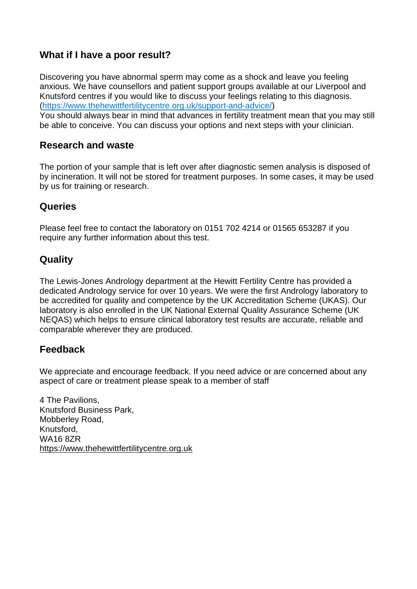### **What if I have a poor result?**

Discovering you have abnormal sperm may come as a shock and leave you feeling anxious. We have counsellors and patient support groups available at our Liverpool and Knutsford centres if you would like to discuss your feelings relating to this diagnosis. [\(https://www.thehewittfertilitycentre.org.uk/support-and-advice/\)](https://www.thehewittfertilitycentre.org.uk/support-and-advice/)

You should always bear in mind that advances in fertility treatment mean that you may still be able to conceive. You can discuss your options and next steps with your clinician.

#### **Research and waste**

The portion of your sample that is left over after diagnostic semen analysis is disposed of by incineration. It will not be stored for treatment purposes. In some cases, it may be used by us for training or research.

#### **Queries**

Please feel free to contact the laboratory on 0151 702 4214 or 01565 653287 if you require any further information about this test.

## **Quality**

The Lewis-Jones Andrology department at the Hewitt Fertility Centre has provided a dedicated Andrology service for over 10 years. We were the first Andrology laboratory to be accredited for quality and competence by the UK Accreditation Scheme (UKAS). Our laboratory is also enrolled in the UK National External Quality Assurance Scheme (UK NEQAS) which helps to ensure clinical laboratory test results are accurate, reliable and comparable wherever they are produced.

#### **Feedback**

We appreciate and encourage feedback. If you need advice or are concerned about any aspect of care or treatment please speak to a member of staff

4 The Pavilions, Knutsford Business Park, Mobberley Road, Knutsford, WA16 8ZR [https://www.thehewittfertilitycentre.org.uk](https://www.thehewittfertilitycentre.org.uk/)